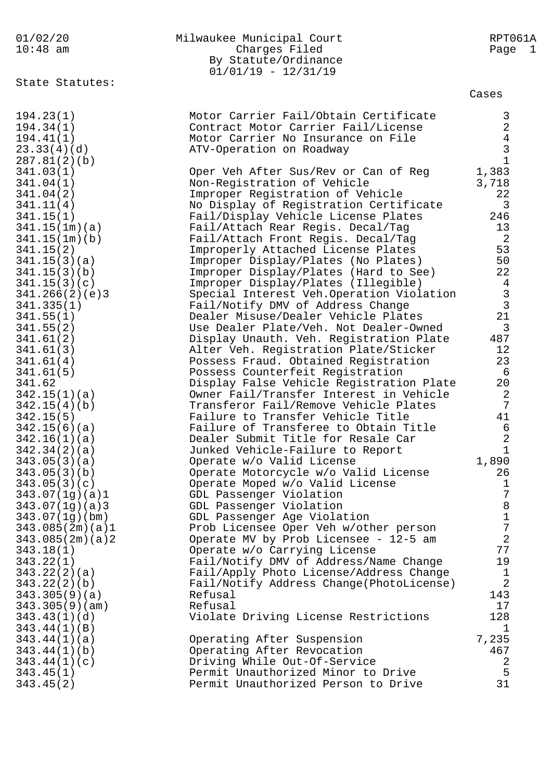| 01/02/20                  | Milwaukee Municipal Court                                                         | RPT061A               |
|---------------------------|-----------------------------------------------------------------------------------|-----------------------|
| $10:48$ am                | Charges Filed                                                                     | Page 1                |
|                           | By Statute/Ordinance                                                              |                       |
|                           | $01/01/19 - 12/31/19$                                                             |                       |
| State Statutes:           |                                                                                   |                       |
|                           |                                                                                   | Cases                 |
| 194.23(1)                 | Motor Carrier Fail/Obtain Certificate                                             | 3                     |
| 194.34(1)                 | Contract Motor Carrier Fail/License                                               | $\overline{a}$        |
| 194.41(1)                 | Motor Carrier No Insurance on File                                                | $\bf 4$               |
| 23.33(4)(d)               | ATV-Operation on Roadway                                                          | $\mathsf{3}$          |
| 287.81(2)(b)              |                                                                                   | $\mathbf{1}$          |
| 341.03(1)                 | Oper Veh After Sus/Rev or Can of Reg                                              | 1,383                 |
| 341.04(1)                 | Non-Registration of Vehicle                                                       | 3,718                 |
| 341.04(2)                 | Improper Registration of Vehicle                                                  | 22                    |
| 341.11(4)                 | No Display of Registration Certificate                                            | 3                     |
| 341.15(1)                 | Fail/Display Vehicle License Plates                                               | 246                   |
| 341.15(1m)(a)             | Fail/Attach Rear Regis. Decal/Tag                                                 | 13                    |
| 341.15(1m)(b)             | Fail/Attach Front Regis. Decal/Tag                                                | 2                     |
| 341.15(2)                 | Improperly Attached License Plates                                                | 53                    |
| 341.15(3)(a)              | Improper Display/Plates (No Plates)                                               | 50                    |
| 341.15(3)(b)              | Improper Display/Plates (Hard to See)                                             | 22                    |
| 341.15(3)(c)              | Improper Display/Plates (Illegible)                                               | $\overline{4}$        |
| 341.266(2)(e)3            | Special Interest Veh.Operation Violation                                          | $\frac{3}{3}$         |
| 341.335(1)                | Fail/Notify DMV of Address Change                                                 |                       |
| 341.55(1)                 | Dealer Misuse/Dealer Vehicle Plates                                               | 21                    |
| 341.55(2)                 | Use Dealer Plate/Veh. Not Dealer-Owned                                            | $\overline{3}$        |
| 341.61(2)                 | Display Unauth. Veh. Registration Plate                                           | 487                   |
| 341.61(3)                 | Alter Veh. Registration Plate/Sticker                                             | 12                    |
| 341.61(4)                 | Possess Fraud. Obtained Registration                                              | 23<br>$6\overline{6}$ |
| 341.61(5)<br>341.62       | Possess Counterfeit Registration<br>Display False Vehicle Registration Plate      | 20                    |
| 342.15(1)(a)              | Owner Fail/Transfer Interest in Vehicle                                           | 2                     |
| 342.15(4)(b)              | Transferor Fail/Remove Vehicle Plates                                             | 7                     |
| 342.15(5)                 | Failure to Transfer Vehicle Title                                                 | 41                    |
| 342.15(6)(a)              | Failure of Transferee to Obtain Title                                             | $\epsilon$            |
| 342.16(1)(a)              | Dealer Submit Title for Resale Car                                                | $\sqrt{2}$            |
| 342.34(2)(a)              | Junked Vehicle-Failure to Report                                                  | $\mathbf{1}$          |
| 343.05(3)(a)              | Operate w/o Valid License                                                         | 1,890                 |
| 343.05(3)(b)              | Operate Motorcycle w/o Valid License                                              | 26                    |
| 343.05(3)(c)              | Operate Moped w/o Valid License                                                   | $\mathbf{1}$          |
| 343.07(1g)(a)1            | GDL Passenger Violation                                                           | 7                     |
| 343.07(1g)(a)3            | GDL Passenger Violation                                                           | 8                     |
| 343.07(1g)(bm)            | GDL Passenger Age Violation                                                       | $\mathbf 1$           |
| 343.085(2m)(a)1           | Prob Licensee Oper Veh w/other person                                             | $\sqrt{ }$            |
| 343.085(2m)(a)2           | Operate MV by Prob Licensee - 12-5 am                                             | $\overline{2}$        |
| 343.18(1)                 | Operate w/o Carrying License                                                      | 77<br>19              |
| 343.22(1)<br>343.22(2)(a) | Fail/Notify DMV of Address/Name Change<br>Fail/Apply Photo License/Address Change | $\mathbf 1$           |
| 343.22(2)(b)              | Fail/Notify Address Change(PhotoLicense)                                          | $\overline{2}$        |
| 343.305(9)(a)             | Refusal                                                                           | 143                   |
| 343.305(9)(am)            | Refusal                                                                           | 17                    |
| 343.43(1)(d)              | Violate Driving License Restrictions                                              | 128                   |
| 343.44(1)(B)              |                                                                                   | 1                     |
| 343.44(1)(a)              | Operating After Suspension                                                        | 7,235                 |
| 343.44(1)(b)              | Operating After Revocation                                                        | 467                   |
| 343.44(1)(c)              | Driving While Out-Of-Service                                                      | $\overline{2}$        |
| 343.45(1)                 | Permit Unauthorized Minor to Drive                                                | 5                     |
| 343.45(2)                 | Permit Unauthorized Person to Drive                                               | 31                    |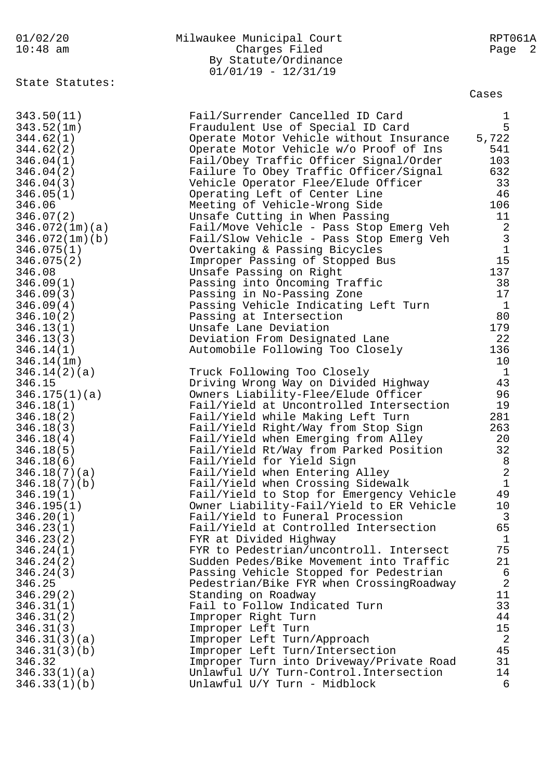| 01/02/20   | Milwaukee Municipal Court | RPT061A |
|------------|---------------------------|---------|
| $10:48$ am | Charges Filed             | Page 2  |
|            | By Statute/Ordinance      |         |
|            | $01/01/19 - 12/31/19$     |         |

State Statutes:

Cases

| 343.50(11)     | Fail/Surrender Cancelled ID Card         | $\mathbf{1}$   |
|----------------|------------------------------------------|----------------|
| 343.52(1m)     | Fraudulent Use of Special ID Card        | 5              |
| 344.62(1)      | Operate Motor Vehicle without Insurance  | 5,722          |
| 344.62(2)      | Operate Motor Vehicle w/o Proof of Ins   | 541            |
| 346.04(1)      | Fail/Obey Traffic Officer Signal/Order   | 103            |
| 346.04(2)      | Failure To Obey Traffic Officer/Signal   | 632            |
| 346.04(3)      | Vehicle Operator Flee/Elude Officer      | 33             |
| 346.05(1)      | Operating Left of Center Line            | 46             |
| 346.06         | Meeting of Vehicle-Wrong Side            | 106            |
| 346.07(2)      | Unsafe Cutting in When Passing           | 11             |
| 346.072(1m)(a) | Fail/Move Vehicle - Pass Stop Emerg Veh  | 2              |
| 346.072(1m)(b) | Fail/Slow Vehicle - Pass Stop Emerg Veh  | $\mathbf{3}$   |
| 346.075(1)     | Overtaking & Passing Bicycles            | $\tilde{1}$    |
| 346.075(2)     | Improper Passing of Stopped Bus          | 15             |
| 346.08         | Unsafe Passing on Right                  | 137            |
| 346.09(1)      | Passing into Oncoming Traffic            | 38             |
| 346.09(3)      | Passing in No-Passing Zone               | 17             |
| 346.09(4)      | Passing Vehicle Indicating Left Turn     | $\mathbf{1}$   |
| 346.10(2)      | Passing at Intersection                  | 80             |
| 346.13(1)      | Unsafe Lane Deviation                    | 179            |
| 346.13(3)      | Deviation From Designated Lane           | 22             |
| 346.14(1)      | Automobile Following Too Closely         | 136            |
| 346.14(1m)     |                                          | 10             |
| 346.14(2)(a)   | Truck Following Too Closely              | $\mathbf{1}$   |
| 346.15         | Driving Wrong Way on Divided Highway     | 43             |
| 346.175(1)(a)  | Owners Liability-Flee/Elude Officer      | 96             |
| 346.18(1)      | Fail/Yield at Uncontrolled Intersection  | 19             |
| 346.18(2)      | Fail/Yield while Making Left Turn        | 281            |
| 346.18(3)      | Fail/Yield Right/Way from Stop Sign      | 263            |
| 346.18(4)      | Fail/Yield when Emerging from Alley      | 20             |
| 346.18(5)      | Fail/Yield Rt/Way from Parked Position   | 32             |
| 346.18(6)      | Fail/Yield for Yield Sign                | 8              |
| 346.18(7)(a)   | Fail/Yield when Entering Alley           | $\overline{2}$ |
| 346.18(7)(b)   | Fail/Yield when Crossing Sidewalk        | $\mathbf{1}$   |
| 346.19(1)      | Fail/Yield to Stop for Emergency Vehicle | 49             |
| 346.195(1)     | Owner Liability-Fail/Yield to ER Vehicle | 10             |
| 346.20(1)      | Fail/Yield to Funeral Procession         | 3              |
| 346.23(1)      | Fail/Yield at Controlled Intersection    | 65             |
| 346.23(2)      | FYR at Divided Highway                   | $\mathbf{1}$   |
| 346.24(1)      | FYR to Pedestrian/uncontroll. Intersect  | 75             |
| 346.24(2)      | Sudden Pedes/Bike Movement into Traffic  | 21             |
| 346.24(3)      | Passing Vehicle Stopped for Pedestrian   | 6              |
| 346.25         | Pedestrian/Bike FYR when CrossingRoadway | $\overline{c}$ |
| 346.29(2)      | Standing on Roadway                      | 11             |
| 346.31(1)      | Fail to Follow Indicated Turn            | 33             |
| 346.31(2)      | Improper Right Turn                      | 44             |
| 346.31(3)      | Improper Left Turn                       | 15             |
| 346.31(3)(a)   | Improper Left Turn/Approach              | 2<br>45        |
| 346.31(3)(b)   | Improper Left Turn/Intersection          |                |
| 346.32         | Improper Turn into Driveway/Private Road | 31             |
| 346.33(1)(a)   | Unlawful U/Y Turn-Control. Intersection  | 14             |
| 346.33(1)(b)   | Unlawful U/Y Turn - Midblock             | 6              |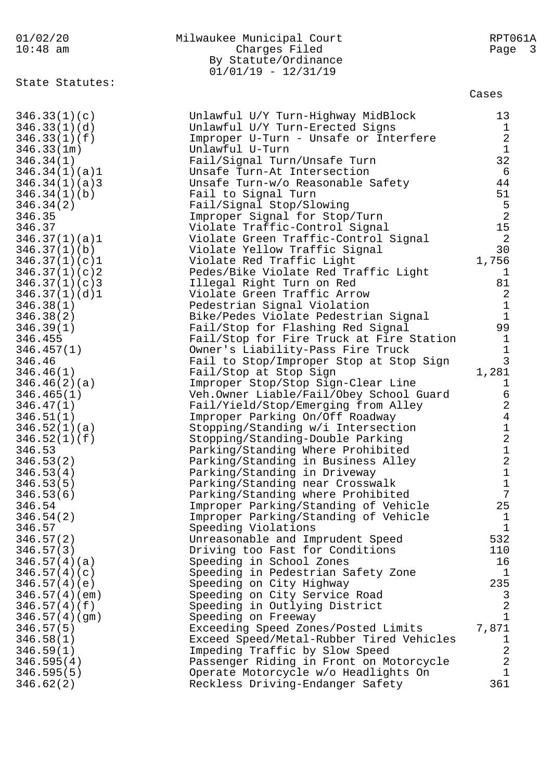| 01/02/20<br>$10:48$ am        | Milwaukee Municipal Court<br>Charges Filed<br>By Statute/Ordinance<br>$01/01/19 - 12/31/19$ | RPT061A<br>Page<br>$\overline{\mathbf{3}}$ |
|-------------------------------|---------------------------------------------------------------------------------------------|--------------------------------------------|
| State Statutes:               |                                                                                             | Cases                                      |
| 346.33(1)(c)                  | Unlawful U/Y Turn-Highway MidBlock                                                          | 13                                         |
| 346.33(1)(d)                  | Unlawful U/Y Turn-Erected Signs                                                             | $\mathbf{1}$                               |
| 346.33(1)(f)                  | Improper U-Turn - Unsafe or Interfere                                                       | $\sqrt{2}$                                 |
| 346.33(1m)                    | Unlawful U-Turn                                                                             | $1\,$                                      |
| 346.34(1)                     | Fail/Signal Turn/Unsafe Turn                                                                | 32                                         |
| 346.34(1)(a)1                 | Unsafe Turn-At Intersection                                                                 | 6<br>44                                    |
| 346.34(1)(a)3<br>346.34(1)(b) | Unsafe Turn-w/o Reasonable Safety<br>Fail to Signal Turn                                    | 51                                         |
| 346.34(2)                     | Fail/Signal Stop/Slowing                                                                    |                                            |
| 346.35                        | Improper Signal for Stop/Turn                                                               | $\frac{5}{2}$                              |
| 346.37                        | Violate Traffic-Control Signal                                                              | $15$                                       |
| 346.37(1)(a)1                 | Violate Green Traffic-Control Signal                                                        | $\overline{2}$                             |
| 346.37(1)(b)                  | Violate Yellow Traffic Signal                                                               | 30                                         |
| 346.37(1)(c)1                 | Violate Red Traffic Light                                                                   | 1,756                                      |
| 346.37(1)(c)                  | Pedes/Bike Violate Red Traffic Light                                                        | 1                                          |
| 346.37(1)(c)3                 | Illegal Right Turn on Red                                                                   | 81                                         |
| 346.37(1)(d)1                 | Violate Green Traffic Arrow                                                                 | $\sqrt{2}$                                 |
| 346.38(1)                     | Pedestrian Signal Violation                                                                 | $\mathbf{1}$                               |
| 346.38(2)                     | Bike/Pedes Violate Pedestrian Signal                                                        | $\mathbf{1}$                               |
| 346.39(1)                     | Fail/Stop for Flashing Red Signal                                                           | 99                                         |
| 346.455                       | Fail/Stop for Fire Truck at Fire Station                                                    | $\mathbf 1$                                |
| 346.457(1)                    | Owner's Liability-Pass Fire Truck                                                           | $\mathbf 1$<br>$\mathbf{3}$                |
| 346.46                        | Fail to Stop/Improper Stop at Stop Sign                                                     | 1,281                                      |
| 346.46(1)<br>346.46(2)(a)     | Fail/Stop at Stop Sign<br>Improper Stop/Stop Sign-Clear Line                                | 1                                          |
| 346.465(1)                    | Veh.Owner Liable/Fail/Obey School Guard                                                     | 6                                          |
| 346.47(1)                     | Fail/Yield/Stop/Emerging from Alley                                                         | $\overline{a}$                             |
| 346.51(1)                     | Improper Parking On/Off Roadway                                                             | $\overline{4}$                             |
| 346.52(1)(a)                  | Stopping/Standing w/i Intersection                                                          | $1\,$                                      |
| 346.52(1)(f)                  | Stopping/Standing-Double Parking                                                            | $\overline{2}$                             |
| 346.53                        | Parking/Standing Where Prohibited                                                           | 1                                          |
| 346.53(2)                     | Parking/Standing in Business Alley                                                          | 2                                          |
| 346.53(4)                     | Parking/Standing in Driveway                                                                | 1                                          |
| 346.53(5)                     | Parking/Standing near Crosswalk                                                             | 1                                          |
| 346.53(6)                     | Parking/Standing where Prohibited                                                           | 7                                          |
| 346.54                        | Improper Parking/Standing of Vehicle                                                        | 25                                         |
| 346.54(2)                     | Improper Parking/Standing of Vehicle                                                        | 1                                          |
| 346.57<br>346.57(2)           | Speeding Violations                                                                         | 1<br>532                                   |
| 346.57(3)                     | Unreasonable and Imprudent Speed<br>Driving too Fast for Conditions                         | 110                                        |
| 346.57(4)(a)                  | Speeding in School Zones                                                                    | 16                                         |
| 346.57(4)(c)                  | Speeding in Pedestrian Safety Zone                                                          | 1                                          |
| 346.57(4)(e)                  | Speeding on City Highway                                                                    | 235                                        |
| 346.57(4)(em)                 | Speeding on City Service Road                                                               | 3                                          |
| 346.57(4)(f)                  | Speeding in Outlying District                                                               | 2                                          |
| 346.57(4)(gm)                 | Speeding on Freeway                                                                         | $\mathbf 1$                                |
| 346.57(5)                     | Exceeding Speed Zones/Posted Limits                                                         | 7,871                                      |
| 346.58(1)                     | Exceed Speed/Metal-Rubber Tired Vehicles                                                    | 1                                          |
| 346.59(1)                     | Impeding Traffic by Slow Speed                                                              | 2                                          |
| 346.595(4)                    | Passenger Riding in Front on Motorcycle                                                     | 2                                          |
| 346.595(5)                    | Operate Motorcycle w/o Headlights On                                                        | $\mathbf 1$                                |
| 346.62(2)                     | Reckless Driving-Endanger Safety                                                            | 361                                        |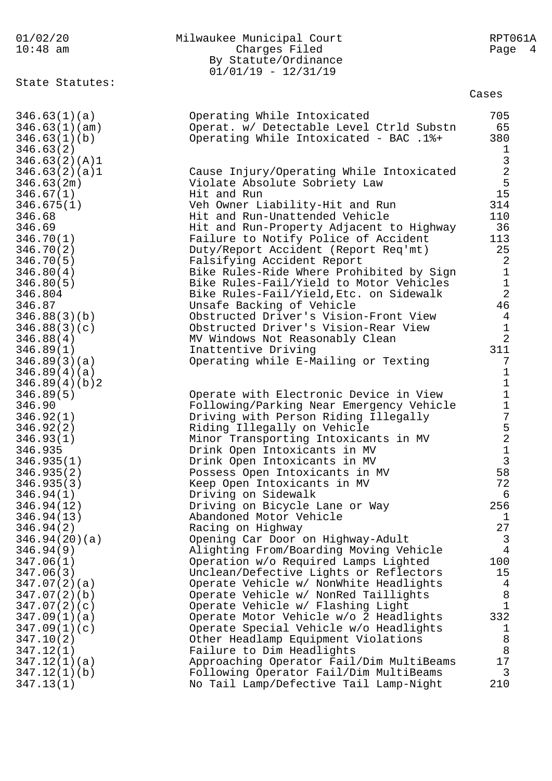| 01/02/20<br>$10:48$ am                                                      | Milwaukee Municipal Court<br>Charges Filed<br>By Statute/Ordinance<br>$01/01/19 - 12/31/19$                                            | RPT061A<br>Page 4                                       |
|-----------------------------------------------------------------------------|----------------------------------------------------------------------------------------------------------------------------------------|---------------------------------------------------------|
| State Statutes:                                                             |                                                                                                                                        | Cases                                                   |
| 346.63(1)(a)<br>346.63(1)(am)<br>346.63(1)(b)<br>346.63(2)<br>346.63(2)(A)1 | Operating While Intoxicated<br>Operat. w/ Detectable Level Ctrld Substn<br>Operating While Intoxicated - BAC .1%+                      | 705<br>65<br>380<br>$\mathbf{1}$                        |
| 346.63(2)(a)1<br>346.63(2m)<br>346.67(1)<br>346.675(1)                      | Cause Injury/Operating While Intoxicated<br>Violate Absolute Sobriety Law<br>Hit and Run<br>Veh Owner Liability-Hit and Run            | $\begin{array}{c} 3 \\ 2 \\ 5 \end{array}$<br>15<br>314 |
| 346.68                                                                      | Hit and Run-Unattended Vehicle                                                                                                         | 110                                                     |
| 346.69                                                                      | Hit and Run-Property Adjacent to Highway                                                                                               | 36                                                      |
| 346.70(1)                                                                   | Failure to Notify Police of Accident                                                                                                   | 113                                                     |
| 346.70(2)                                                                   | Duty/Report Accident (Report Req'mt)                                                                                                   | 25                                                      |
| 346.70(5)                                                                   | Falsifying Accident Report                                                                                                             | 2                                                       |
| 346.80(4)                                                                   | Bike Rules-Ride Where Prohibited by Sign                                                                                               | $\mathbf 1$                                             |
| 346.80(5)                                                                   | Bike Rules-Fail/Yield to Motor Vehicles                                                                                                | $\mathbf 1$                                             |
| 346.804                                                                     | Bike Rules-Fail/Yield, Etc. on Sidewalk                                                                                                | $\overline{2}$                                          |
| 346.87                                                                      | Unsafe Backing of Vehicle                                                                                                              | 46                                                      |
| 346.88(3)(b)                                                                | Obstructed Driver's Vision-Front View                                                                                                  | $\overline{4}$                                          |
| 346.88(3)(c)                                                                | Obstructed Driver's Vision-Rear View                                                                                                   | $\mathbf 1$                                             |
| 346.88(4)                                                                   | MV Windows Not Reasonably Clean                                                                                                        | $\overline{2}$                                          |
| 346.89(1)<br>346.89(3)(a)<br>346.89(4)(a)<br>346.89(4)(b)2                  | Inattentive Driving<br>Operating while E-Mailing or Texting                                                                            | 311<br>7<br>$\mathbf 1$<br>$\mathbf 1$                  |
| 346.89(5)                                                                   | Operate with Electronic Device in View                                                                                                 | $\mathbf 1$                                             |
| 346.90                                                                      | Following/Parking Near Emergency Vehicle                                                                                               | $\mathbf 1$                                             |
| 346.92(1)                                                                   | Driving with Person Riding Illegally                                                                                                   | $\sqrt{ }$                                              |
| 346.92(2)                                                                   | Riding Illegally on Vehicle                                                                                                            | $\frac{5}{2}$                                           |
| 346.93(1)<br>346.935<br>346.935(1)<br>346.935(2)                            | Minor Transporting Intoxicants in MV<br>Drink Open Intoxicants in MV<br>Drink Open Intoxicants in MV<br>Possess Open Intoxicants in MV | $\mathbf 1$<br>3<br>58                                  |
| 346.935(3)                                                                  | Keep Open Intoxicants in MV                                                                                                            | 72                                                      |
| 346.94(1)                                                                   | Driving on Sidewalk                                                                                                                    | $\epsilon$                                              |
| 346.94(12)                                                                  | Driving on Bicycle Lane or Way                                                                                                         | 256                                                     |
| 346.94(13)                                                                  | Abandoned Motor Vehicle                                                                                                                | 1                                                       |
| 346.94(2)                                                                   | Racing on Highway                                                                                                                      | 27                                                      |
| 346.94(20)(a)                                                               | Opening Car Door on Highway-Adult                                                                                                      | $\overline{3}$                                          |
| 346.94(9)                                                                   | Alighting From/Boarding Moving Vehicle                                                                                                 | $\overline{4}$                                          |
| 347.06(1)                                                                   | Operation w/o Required Lamps Lighted                                                                                                   | 100                                                     |
| 347.06(3)                                                                   | Unclean/Defective Lights or Reflectors                                                                                                 | 15                                                      |
| 347.07(2)(a)                                                                | Operate Vehicle w/ NonWhite Headlights                                                                                                 | $\overline{4}$                                          |
| 347.07(2)(b)                                                                | Operate Vehicle w/ NonRed Taillights                                                                                                   | $\,8\,$                                                 |
| 347.07(2)(c)                                                                | Operate Vehicle w/ Flashing Light                                                                                                      | $\mathbf{1}$                                            |
| 347.09(1)(a)                                                                | Operate Motor Vehicle w/o 2 Headlights                                                                                                 | 332                                                     |
| 347.09(1)(c)                                                                | Operate Special Vehicle w/o Headlights                                                                                                 | $\mathbf 1$                                             |
| 347.10(2)                                                                   | Other Headlamp Equipment Violations                                                                                                    | $\, 8$                                                  |
| 347.12(1)                                                                   | Failure to Dim Headlights                                                                                                              | 8                                                       |
| 347.12(1)(a)                                                                | Approaching Operator Fail/Dim MultiBeams                                                                                               | 17                                                      |
| 347.12(1)(b)                                                                | Following Operator Fail/Dim MultiBeams                                                                                                 | 3                                                       |
| 347.13(1)                                                                   | No Tail Lamp/Defective Tail Lamp-Night                                                                                                 | 210                                                     |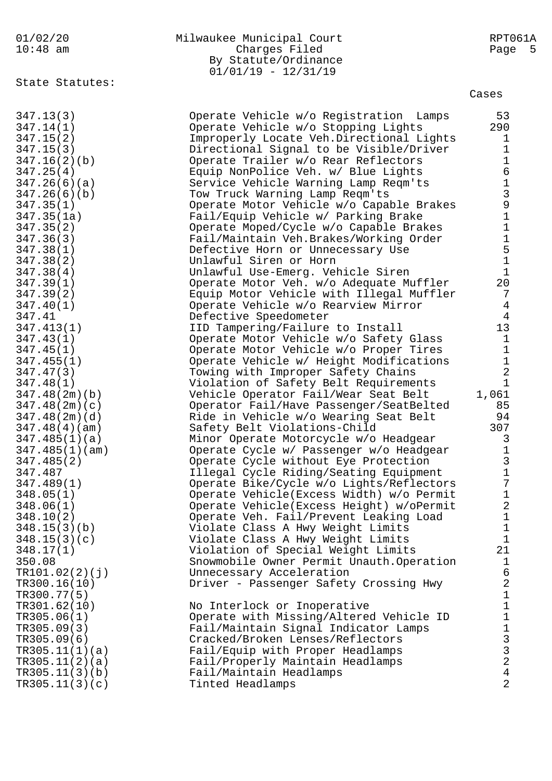|  |  |                    | 01/02/20 |
|--|--|--------------------|----------|
|  |  | $1 \wedge 1 \circ$ | $\sim$ m |

| 01/02/20   | Milwaukee Municipal Court | RPT061A |
|------------|---------------------------|---------|
| $10:48$ am | Charges Filed             | Page 5  |
|            | By Statute/Ordinance      |         |
|            | $01/01/19 - 12/31/19$     |         |

State Statutes:

| Cases |  |
|-------|--|

| 347.13(3)      | Operate Vehicle w/o Registration Lamps    | 53                                           |
|----------------|-------------------------------------------|----------------------------------------------|
| 347.14(1)      | Operate Vehicle w/o Stopping Lights       | 290                                          |
| 347.15(2)      | Improperly Locate Veh.Directional Lights  | $\mathbf{1}$                                 |
| 347.15(3)      | Directional Signal to be Visible/Driver   | $\mathbf{1}$                                 |
| 347.16(2)(b)   | Operate Trailer w/o Rear Reflectors       | $\mathbf 1$                                  |
| 347.25(4)      | Equip NonPolice Veh. w/ Blue Lights       | $6\,$                                        |
| 347.26(6)(a)   | Service Vehicle Warning Lamp Reqm'ts      | $\mathbf 1$                                  |
| 347.26(6)(b)   | Tow Truck Warning Lamp Reqm'ts            | $\mathsf{3}$                                 |
| 347.35(1)      | Operate Motor Vehicle w/o Capable Brakes  | $\mathsf 9$                                  |
|                |                                           | $\mathbf 1$                                  |
| 347.35(1a)     | Fail/Equip Vehicle w/ Parking Brake       |                                              |
| 347.35(2)      | Operate Moped/Cycle w/o Capable Brakes    | $\mathbf 1$                                  |
| 347.36(3)      | Fail/Maintain Veh.Brakes/Working Order    | $\mathbf 1$                                  |
| 347.38(1)      | Defective Horn or Unnecessary Use         | $\mathsf S$                                  |
| 347.38(2)      | Unlawful Siren or Horn                    | $\mathbf 1$                                  |
| 347.38(4)      | Unlawful Use-Emerg. Vehicle Siren         | $\mathbf{1}$                                 |
| 347.39(1)      | Operate Motor Veh. w/o Adequate Muffler   | 20                                           |
| 347.39(2)      | Equip Motor Vehicle with Illegal Muffler  | 7                                            |
| 347.40(1)      | Operate Vehicle w/o Rearview Mirror       | $\overline{4}$                               |
| 347.41         | Defective Speedometer                     | 4                                            |
| 347.413(1)     | IID Tampering/Failure to Install          | 13                                           |
| 347.43(1)      | Operate Motor Vehicle w/o Safety Glass    | $\mathbf{1}$                                 |
| 347.45(1)      | Operate Motor Vehicle w/o Proper Tires    | $\mathbf{1}$                                 |
| 347.455(1)     | Operate Vehicle w/ Height Modifications   | $1\,$                                        |
| 347.47(3)      | Towing with Improper Safety Chains        | $\overline{2}$                               |
| 347.48(1)      | Violation of Safety Belt Requirements     | $\mathbf 1$                                  |
| 347.48(2m)(b)  | Vehicle Operator Fail/Wear Seat Belt      | 1,061                                        |
| 347.48(2m)(c)  | Operator Fail/Have Passenger/SeatBelted   | 85                                           |
| 347.48(2m)(d)  | Ride in Vehicle w/o Wearing Seat Belt     | 94                                           |
| 347.48(4)(am)  |                                           | 307                                          |
|                | Safety Belt Violations-Child              |                                              |
| 347.485(1)(a)  | Minor Operate Motorcycle w/o Headgear     | 3                                            |
| 347.485(1)(am) | Operate Cycle w/ Passenger w/o Headgear   | $\mathbf 1$                                  |
| 347.485(2)     | Operate Cycle without Eye Protection      | $\mathfrak{Z}$                               |
| 347.487        | Illegal Cycle Riding/Seating Equipment    | $\mathbf 1$                                  |
| 347.489(1)     | Operate Bike/Cycle w/o Lights/Reflectors  | 7                                            |
| 348.05(1)      | Operate Vehicle(Excess Width) w/o Permit  | $\mathbf 1$                                  |
| 348.06(1)      | Operate Vehicle (Excess Height) w/oPermit | $\sqrt{2}$                                   |
| 348.10(2)      | Operate Veh. Fail/Prevent Leaking Load    | $\mathbf 1$                                  |
| 348.15(3)(b)   | Violate Class A Hwy Weight Limits         | $\mathbf{1}$                                 |
| 348.15(3)(c)   | Violate Class A Hwy Weight Limits         | $\mathbf{1}$                                 |
| 348.17(1)      | Violation of Special Weight Limits        | 21                                           |
| 350.08         | Snowmobile Owner Permit Unauth.Operation  | $\mathbf{1}$                                 |
| TR101.02(2)(j) | Unnecessary Acceleration                  | $\sqrt{6}$                                   |
| TR300.16(10)   | Driver - Passenger Safety Crossing Hwy    | $\sqrt{2}$                                   |
| TR300.77(5)    |                                           | $\,1\,$                                      |
| TR301.62(10)   | No Interlock or Inoperative               | $\mathbf 1$                                  |
| TR305.06(1)    | Operate with Missing/Altered Vehicle ID   | $\mathbf 1$                                  |
| TR305.09(3)    | Fail/Maintain Signal Indicator Lamps      |                                              |
| TR305.09(6)    | Cracked/Broken Lenses/Reflectors          | $\begin{array}{c}\n1 \\ 3 \\ 2\n\end{array}$ |
| TR305.11(1)(a) | Fail/Equip with Proper Headlamps          |                                              |
|                |                                           |                                              |
| TR305.11(2)(a) | Fail/Properly Maintain Headlamps          | $\overline{4}$                               |
| TR305.11(3)(b) | Fail/Maintain Headlamps                   | $\overline{2}$                               |
| TR305.11(3)(c) | Tinted Headlamps                          |                                              |
|                |                                           |                                              |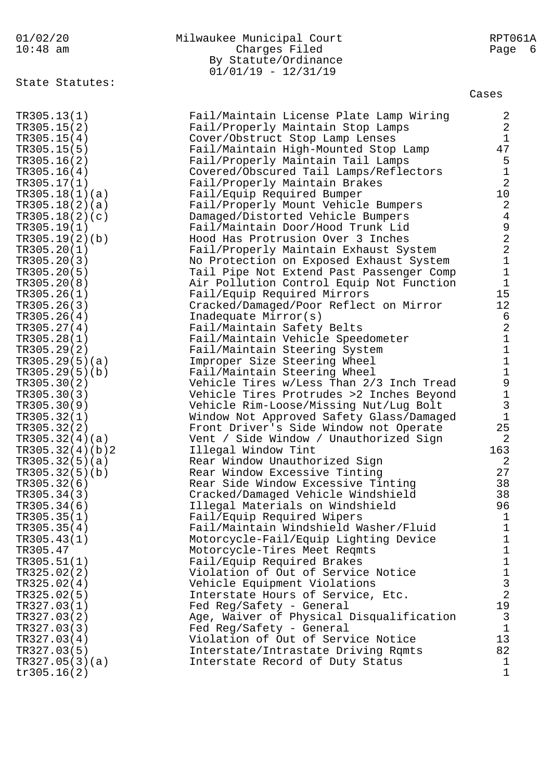| 01/02/20<br>$10:48$ am        | Milwaukee Municipal Court<br>Charges Filed<br>By Statute/Ordinance<br>$01/01/19 - 12/31/19$ | RPT061A<br>Page<br>- 6                     |
|-------------------------------|---------------------------------------------------------------------------------------------|--------------------------------------------|
| State Statutes:               |                                                                                             | Cases                                      |
| TR305.13(1)                   | Fail/Maintain License Plate Lamp Wiring                                                     | 2                                          |
| TR305.15(2)                   | Fail/Properly Maintain Stop Lamps                                                           | $\sqrt{2}$                                 |
| TR305.15(4)                   | Cover/Obstruct Stop Lamp Lenses                                                             | $\mathbf{1}$                               |
| TR305.15(5)                   | Fail/Maintain High-Mounted Stop Lamp                                                        | 47                                         |
| TR305.16(2)                   | Fail/Properly Maintain Tail Lamps                                                           | $\begin{array}{c} 5 \\ 1 \end{array}$      |
| TR305.16(4)                   | Covered/Obscured Tail Lamps/Reflectors                                                      |                                            |
| TR305.17(1)                   | Fail/Properly Maintain Brakes                                                               | $\overline{2}$                             |
| TR305.18(1)(a)                | Fail/Equip Required Bumper                                                                  | 10                                         |
| TR305.18(2)(a)                | Fail/Properly Mount Vehicle Bumpers                                                         | $\sqrt{2}$<br>$\,4$                        |
| TR305.18(2)(c)<br>TR305.19(1) | Damaged/Distorted Vehicle Bumpers<br>Fail/Maintain Door/Hood Trunk Lid                      |                                            |
| TR305.19(2)(b)                | Hood Has Protrusion Over 3 Inches                                                           |                                            |
| TR305.20(1)                   | Fail/Properly Maintain Exhaust System                                                       | 922111                                     |
| TR305.20(3)                   | No Protection on Exposed Exhaust System                                                     |                                            |
| TR305.20(5)                   | Tail Pipe Not Extend Past Passenger Comp                                                    |                                            |
| TR305.20(8)                   | Air Pollution Control Equip Not Function                                                    |                                            |
| TR305.26(1)                   | Fail/Equip Required Mirrors                                                                 | 15                                         |
| TR305.26(3)                   | Cracked/Damaged/Poor Reflect on Mirror                                                      | 12                                         |
| TR305.26(4)                   | Inadequate Mirror(s)                                                                        |                                            |
| TR305.27(4)                   | Fail/Maintain Safety Belts                                                                  |                                            |
| TR305.28(1)                   | Fail/Maintain Vehicle Speedometer                                                           | 6<br>2<br>1<br>1                           |
| TR305.29(2)                   | Fail/Maintain Steering System                                                               |                                            |
| TR305.29(5)(a)                | Improper Size Steering Wheel                                                                | $\frac{1}{1}$                              |
| TR305.29(5)(b)                | Fail/Maintain Steering Wheel                                                                |                                            |
| TR305.30(2)                   | Vehicle Tires w/Less Than 2/3 Inch Tread                                                    | $\begin{array}{c} 9 \\ 1 \\ 3 \end{array}$ |
| TR305.30(3)                   | Vehicle Tires Protrudes >2 Inches Beyond                                                    |                                            |
| TR305.30(9)                   | Vehicle Rim-Loose/Missing Nut/Lug Bolt                                                      | $\mathbf 1$                                |
| TR305.32(1)<br>TR305.32(2)    | Window Not Approved Safety Glass/Damaged<br>Front Driver's Side Window not Operate          | 25                                         |
| TR305.32(4)(a)                | Vent / Side Window / Unauthorized Sign                                                      | 2                                          |
| TR305.32(4)(b)2               | Illegal Window Tint                                                                         | 163                                        |
| TR305.32(5)(a)                | Rear Window Unauthorized Sign                                                               | 2                                          |
| TR305.32(5)(b)                | Rear Window Excessive Tinting                                                               | 27                                         |
| TR305.32(6)                   | Rear Side Window Excessive Tinting                                                          | 38                                         |
| TR305.34(3)                   | Cracked/Damaged Vehicle Windshield                                                          | 38                                         |
| TR305.34(6)                   | Illegal Materials on Windshield                                                             | 96                                         |
| TR305.35(1)                   | Fail/Equip Required Wipers                                                                  | 1                                          |
| TR305.35(4)                   | Fail/Maintain Windshield Washer/Fluid                                                       | $\mathbf{1}$                               |
| TR305.43(1)                   | Motorcycle-Fail/Equip Lighting Device                                                       | 1                                          |
| TR305.47                      | Motorcycle-Tires Meet Reqmts                                                                | $\mathbf 1$                                |
| TR305.51(1)                   | Fail/Equip Required Brakes                                                                  | $\mathbf 1$                                |
| TR325.02(2)                   | Violation of Out of Service Notice                                                          | $\mathbf 1$                                |
| TR325.02(4)                   | Vehicle Equipment Violations                                                                | 3<br>$\overline{2}$                        |
| TR325.02(5)                   | Interstate Hours of Service, Etc.                                                           |                                            |
| TR327.03(1)<br>TR327.03(2)    | Fed Reg/Safety - General<br>Age, Waiver of Physical Disqualification                        | 19<br>$\mathbf{3}$                         |
| TR327.03(3)                   | Fed Reg/Safety - General                                                                    | $\mathbf{1}$                               |
| TR327.03(4)                   | Violation of Out of Service Notice                                                          | 13                                         |
| TR327.03(5)                   | Interstate/Intrastate Driving Rqmts                                                         | 82                                         |
| TR327.05(3)(a)                | Interstate Record of Duty Status                                                            | 1                                          |
| tr305.16(2)                   |                                                                                             | $\mathbf 1$                                |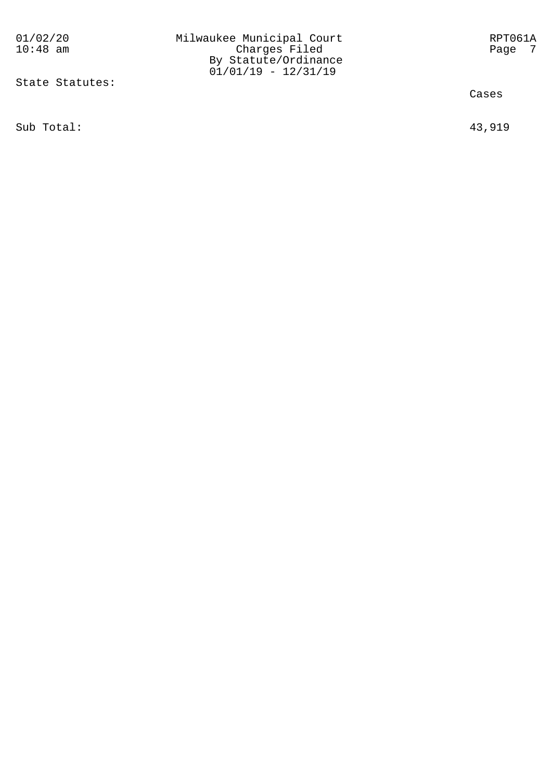01/02/20 Milwaukee Municipal Court RPT061A 10:48 am Charges Filed Page 7 By Statute/Ordinance

State Statutes:

Sub Total: 43,919

Cases

01/01/19 - 12/31/19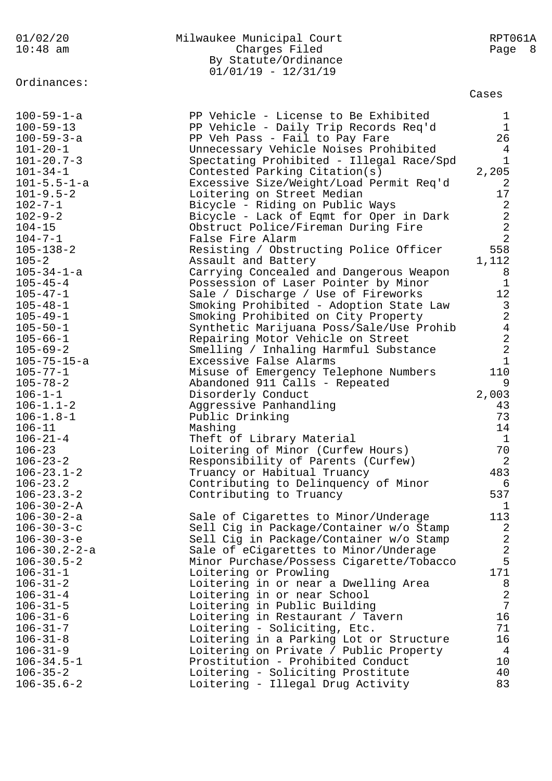| 01/02/20<br>$10:48$ am           | Milwaukee Municipal Court<br>Charges Filed<br>By Statute/Ordinance<br>$01/01/19 - 12/31/19$ | RPT061A<br>Page<br>- 8                               |
|----------------------------------|---------------------------------------------------------------------------------------------|------------------------------------------------------|
| Ordinances:                      |                                                                                             | Cases                                                |
| $100 - 59 - 1 - a$               | PP Vehicle - License to Be Exhibited                                                        | ı                                                    |
| $100 - 59 - 13$                  | PP Vehicle - Daily Trip Records Req'd                                                       | 1                                                    |
| $100 - 59 - 3 - a$               | PP Veh Pass - Fail to Pay Fare                                                              | 26                                                   |
| $101 - 20 - 1$                   | Unnecessary Vehicle Noises Prohibited                                                       | 4                                                    |
| $101 - 20.7 - 3$                 | Spectating Prohibited - Illegal Race/Spd                                                    | $\mathbf{1}$                                         |
| $101 - 34 - 1$                   | Contested Parking Citation(s)                                                               | 2,205                                                |
| $101 - 5.5 - 1 - a$              | Excessive Size/Weight/Load Permit Req'd                                                     | 2                                                    |
| $101 - 9.5 - 2$                  | Loitering on Street Median                                                                  | 17                                                   |
| $102 - 7 - 1$<br>$102 - 9 - 2$   | Bicycle - Riding on Public Ways                                                             | 2                                                    |
| $104 - 15$                       | Bicycle - Lack of Eqmt for Oper in Dark<br>Obstruct Police/Fireman During Fire              | $\frac{2}{2}$                                        |
| $104 - 7 - 1$                    | False Fire Alarm                                                                            | $\overline{2}$                                       |
| $105 - 138 - 2$                  | Resisting / Obstructing Police Officer                                                      | 558                                                  |
| $105 - 2$                        | Assault and Battery                                                                         | 1,112                                                |
| $105 - 34 - 1 - a$               | Carrying Concealed and Dangerous Weapon                                                     | 8                                                    |
| $105 - 45 - 4$                   | Possession of Laser Pointer by Minor                                                        | 1                                                    |
| $105 - 47 - 1$                   | Sale / Discharge / Use of Fireworks                                                         | 12                                                   |
| $105 - 48 - 1$                   | Smoking Prohibited - Adoption State Law                                                     |                                                      |
| $105 - 49 - 1$                   | Smoking Prohibited on City Property                                                         |                                                      |
| $105 - 50 - 1$                   | Synthetic Marijuana Poss/Sale/Use Prohib                                                    |                                                      |
| $105 - 66 - 1$                   | Repairing Motor Vehicle on Street                                                           | $\begin{array}{c} 3 \\ 2 \\ 4 \\ 2 \\ 2 \end{array}$ |
| $105 - 69 - 2$                   | Smelling / Inhaling Harmful Substance                                                       |                                                      |
| $105 - 75 - 15 - a$              | Excessive False Alarms                                                                      | $1\,$                                                |
| $105 - 77 - 1$                   | Misuse of Emergency Telephone Numbers                                                       | 110                                                  |
| $105 - 78 - 2$                   | Abandoned 911 Calls - Repeated                                                              | 9                                                    |
| $106 - 1 - 1$<br>$106 - 1.1 - 2$ | Disorderly Conduct<br>Aggressive Panhandling                                                | 2,003<br>43                                          |
| $106 - 1.8 - 1$                  | Public Drinking                                                                             | 73                                                   |
| $106 - 11$                       | Mashing                                                                                     | 14                                                   |
| $106 - 21 - 4$                   | Theft of Library Material                                                                   | $\mathbf{1}$                                         |
| 106-23                           | Loitering of Minor (Curfew Hours)                                                           | 70                                                   |
| $106 - 23 - 2$                   | Responsibility of Parents (Curfew)                                                          | 2                                                    |
| $106 - 23.1 - 2$                 | Truancy or Habitual Truancy                                                                 | 483                                                  |
| $106 - 23.2$                     | Contributing to Delinquency of Minor                                                        | 6                                                    |
| $106 - 23.3 - 2$                 | Contributing to Truancy                                                                     | 537                                                  |
| $106 - 30 - 2 - A$               |                                                                                             | 1                                                    |
| $106 - 30 - 2 - a$               | Sale of Cigarettes to Minor/Underage                                                        | 113                                                  |
| $106 - 30 - 3 - c$               | Sell Cig in Package/Container w/o Stamp                                                     | 2                                                    |
| $106 - 30 - 3 - e$               | Sell Cig in Package/Container w/o Stamp                                                     | $\overline{2}$                                       |
| $106 - 30.2 - 2 - a$             | Sale of eCigarettes to Minor/Underage                                                       | $\overline{2}$                                       |
| $106 - 30.5 - 2$                 | Minor Purchase/Possess Cigarette/Tobacco                                                    | 5                                                    |
| $106 - 31 - 1$<br>$106 - 31 - 2$ | Loitering or Prowling                                                                       | 171                                                  |
| $106 - 31 - 4$                   | Loitering in or near a Dwelling Area<br>Loitering in or near School                         | 8<br>$\overline{a}$                                  |
| $106 - 31 - 5$                   | Loitering in Public Building                                                                | 7                                                    |
| $106 - 31 - 6$                   | Loitering in Restaurant / Tavern                                                            | 16                                                   |
| $106 - 31 - 7$                   | Loitering - Soliciting, Etc.                                                                | 71                                                   |
| $106 - 31 - 8$                   | Loitering in a Parking Lot or Structure                                                     | 16                                                   |
| $106 - 31 - 9$                   | Loitering on Private / Public Property                                                      | 4                                                    |
| $106 - 34.5 - 1$                 | Prostitution - Prohibited Conduct                                                           | 10                                                   |
| $106 - 35 - 2$                   | Loitering - Soliciting Prostitute                                                           | 40                                                   |
| $106 - 35.6 - 2$                 | Loitering - Illegal Drug Activity                                                           | 83                                                   |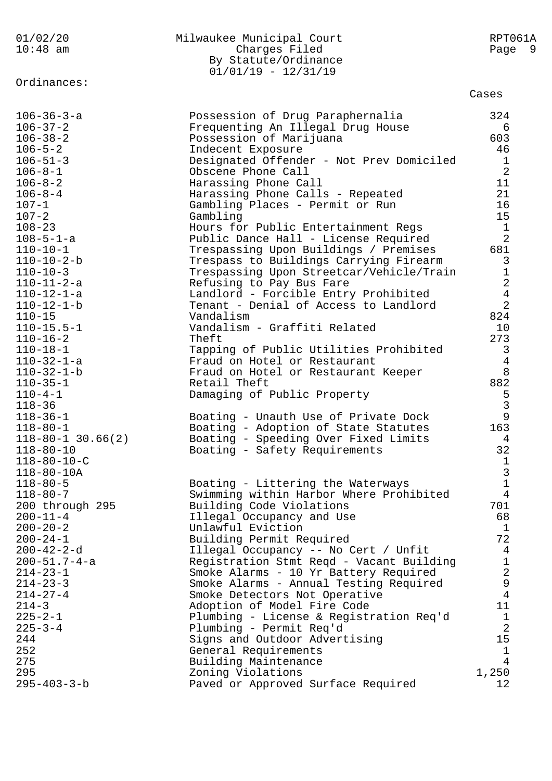| 01/02/20<br>$10:48$ am                     | Milwaukee Municipal Court<br>Charges Filed<br>By Statute/Ordinance<br>$01/01/19 - 12/31/19$ | RPT061A<br>Page 9              |
|--------------------------------------------|---------------------------------------------------------------------------------------------|--------------------------------|
| Ordinances:                                |                                                                                             | Cases                          |
| $106 - 36 - 3 - a$                         | Possession of Drug Paraphernalia                                                            | 324                            |
| $106 - 37 - 2$<br>$106 - 38 - 2$           | Frequenting An Illegal Drug House                                                           | 6<br>603                       |
| $106 - 5 - 2$                              | Possession of Marijuana<br>Indecent Exposure                                                | 46                             |
| $106 - 51 - 3$                             | Designated Offender - Not Prev Domiciled                                                    | $\mathbf{1}$                   |
| $106 - 8 - 1$                              | Obscene Phone Call                                                                          | $\overline{2}$                 |
| $106 - 8 - 2$                              | Harassing Phone Call                                                                        | 11                             |
| $106 - 8 - 4$                              | Harassing Phone Calls - Repeated                                                            | 21                             |
| $107 - 1$                                  | Gambling Places - Permit or Run                                                             | 16                             |
| $107 - 2$                                  | Gambling                                                                                    | 15                             |
| $108 - 23$                                 | Hours for Public Entertainment Regs                                                         | $\mathbf{1}$<br>$\overline{a}$ |
| $108 - 5 - 1 - a$<br>$110 - 10 - 1$        | Public Dance Hall - License Required<br>Trespassing Upon Buildings / Premises               | 681                            |
| $110 - 10 - 2 - b$                         | Trespass to Buildings Carrying Firearm                                                      | $\mathsf{3}$                   |
| $110 - 10 - 3$                             | Trespassing Upon Streetcar/Vehicle/Train                                                    | $\mathbf 1$                    |
| $110 - 11 - 2 - a$                         | Refusing to Pay Bus Fare                                                                    | $\sqrt{2}$                     |
| $110 - 12 - 1 - a$                         | Landlord - Forcible Entry Prohibited                                                        | $\bf 4$                        |
| $110 - 12 - 1 - b$                         | Tenant - Denial of Access to Landlord                                                       | $\overline{2}$                 |
| $110 - 15$                                 | Vandalism                                                                                   | 824                            |
| $110 - 15.5 - 1$                           | Vandalism - Graffiti Related                                                                | 10<br>273                      |
| $110 - 16 - 2$<br>$110 - 18 - 1$           | Theft<br>Tapping of Public Utilities Prohibited                                             | $\mathsf{3}$                   |
| $110 - 32 - 1 - a$                         | Fraud on Hotel or Restaurant                                                                | $\overline{4}$                 |
| $110 - 32 - 1 - b$                         | Fraud on Hotel or Restaurant Keeper                                                         | $\, 8$                         |
| $110 - 35 - 1$                             | Retail Theft                                                                                | 882                            |
| $110 - 4 - 1$                              | Damaging of Public Property                                                                 | 5                              |
| $118 - 36$                                 |                                                                                             | $\mathbf{3}$                   |
| $118 - 36 - 1$                             | Boating - Unauth Use of Private Dock                                                        | $\mathsf{9}$                   |
| $118 - 80 - 1$                             | Boating - Adoption of State Statutes<br>Boating - Speeding Over Fixed Limits                | 163<br>4                       |
| $118 - 80 - 1$ 30.66(2)<br>$118 - 80 - 10$ | Boating - Safety Requirements                                                               | 32                             |
| $118 - 80 - 10 - C$                        |                                                                                             | $\mathbf{1}$                   |
| $118 - 80 - 10A$                           |                                                                                             | $\mathsf 3$                    |
| $118 - 80 - 5$                             | Boating - Littering the Waterways                                                           | $\mathbf 1$                    |
| $118 - 80 - 7$                             | Swimming within Harbor Where Prohibited                                                     | 4                              |
| 200 through 295                            | Building Code Violations                                                                    | 701                            |
| $200 - 11 - 4$                             | Illegal Occupancy and Use                                                                   | 68                             |
| $200 - 20 - 2$<br>$200 - 24 - 1$           | Unlawful Eviction<br>Building Permit Required                                               | $\mathbf{1}$<br>72             |
| $200 - 42 - 2 - d$                         | Illegal Occupancy -- No Cert / Unfit                                                        | $\overline{4}$                 |
| $200 - 51.7 - 4 - a$                       | Registration Stmt Reqd - Vacant Building                                                    | $\mathbf 1$                    |
| $214 - 23 - 1$                             | Smoke Alarms - 10 Yr Battery Required                                                       | $\sqrt{2}$                     |
| $214 - 23 - 3$                             | Smoke Alarms - Annual Testing Required                                                      | 9                              |
| $214 - 27 - 4$                             | Smoke Detectors Not Operative                                                               | $\overline{4}$                 |
| $214 - 3$                                  | Adoption of Model Fire Code                                                                 | 11                             |
| $225 - 2 - 1$                              | Plumbing - License & Registration Req'd                                                     | $\mathbf{1}$                   |
| $225 - 3 - 4$<br>244                       | Plumbing - Permit Req'd<br>Signs and Outdoor Advertising                                    | $\overline{2}$<br>15           |
| 252                                        | General Requirements                                                                        | $\mathbf 1$                    |
| 275                                        | Building Maintenance                                                                        | 4                              |
| 295                                        | Zoning Violations                                                                           | 1,250                          |
| $295 - 403 - 3 - b$                        | Paved or Approved Surface Required                                                          | 12                             |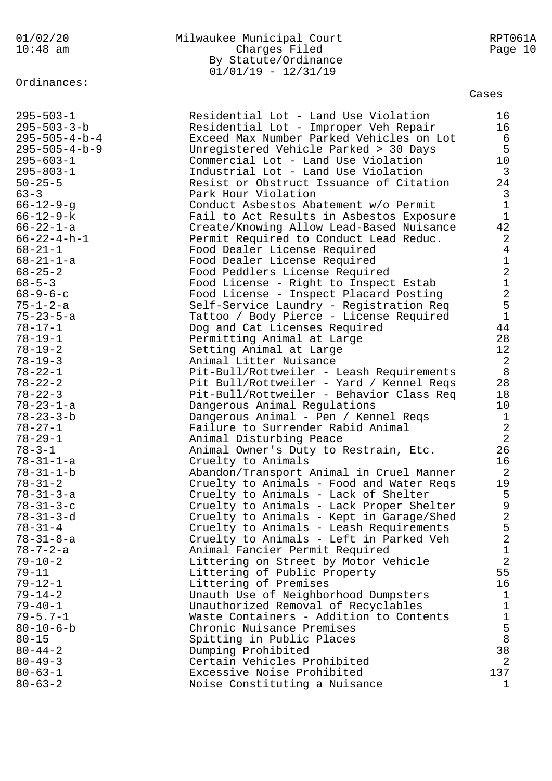Ordinances:

## 01/02/20 Milwaukee Municipal Court RPT061A Charges Filed By Statute/Ordinance  $01/01/19 - 12/31/19$

Cases

| $295 - 503 - 1$                | Residential Lot - Land Use Violation              | 16                                    |
|--------------------------------|---------------------------------------------------|---------------------------------------|
| $295 - 503 - 3 - b$            | Residential Lot - Improper Veh Repair             | 16                                    |
| $295 - 505 - 4 - b - 4$        | Exceed Max Number Parked Vehicles on Lot          | 6                                     |
| $295 - 505 - 4 - b - 9$        | Unregistered Vehicle Parked > 30 Days             | 5                                     |
| $295 - 603 - 1$                | Commercial Lot - Land Use Violation               | 10                                    |
| $295 - 803 - 1$                | Industrial Lot - Land Use Violation               | $\mathbf{3}$                          |
| $50 - 25 - 5$                  | Resist or Obstruct Issuance of Citation           | 24                                    |
| $63 - 3$                       | Park Hour Violation                               | 3                                     |
| $66 - 12 - 9 - q$              | Conduct Asbestos Abatement w/o Permit             | $\mathbf{1}$                          |
| $66 - 12 - 9 - k$              | Fail to Act Results in Asbestos Exposure          | $\mathbf{1}$                          |
| $66 - 22 - 1 - a$              | Create/Knowing Allow Lead-Based Nuisance          | 42                                    |
| $66 - 22 - 4 - h - 1$          | Permit Required to Conduct Lead Reduc.            | $\overline{2}$                        |
| $68 - 21 - 1$                  | Food Dealer License Required                      | 4                                     |
| $68 - 21 - 1 - a$              | Food Dealer License Required                      | $\mathbf{1}$                          |
| $68 - 25 - 2$                  | Food Peddlers License Required                    | $\overline{2}$                        |
| $68 - 5 - 3$                   | Food License - Right to Inspect Estab             | $\mathbf 1$                           |
| $68 - 9 - 6 - c$               | Food License - Inspect Placard Posting            | $\overline{a}$                        |
| $75 - 1 - 2 - a$               | Self-Service Laundry - Registration Req           | 5<br>$\mathbf{1}$                     |
| $75 - 23 - 5 - a$              | Tattoo / Body Pierce - License Required           |                                       |
| $78 - 17 - 1$                  | Dog and Cat Licenses Required                     | 44                                    |
| $78 - 19 - 1$<br>$78 - 19 - 2$ | Permitting Animal at Large                        | 28<br>12 <sup>°</sup>                 |
| $78 - 19 - 3$                  | Setting Animal at Large<br>Animal Litter Nuisance | 2                                     |
| $78 - 22 - 1$                  | Pit-Bull/Rottweiler - Leash Requirements          | 8                                     |
| $78 - 22 - 2$                  | Pit Bull/Rottweiler - Yard / Kennel Reqs          | 28                                    |
| $78 - 22 - 3$                  | Pit-Bull/Rottweiler - Behavior Class Req          | 18                                    |
| $78 - 23 - 1 - a$              | Dangerous Animal Regulations                      | 10 <sub>o</sub>                       |
| $78 - 23 - 3 - b$              | Dangerous Animal - Pen / Kennel Reqs              | $\mathbf{1}$                          |
| $78 - 27 - 1$                  | Failure to Surrender Rabid Animal                 | $\sqrt{2}$                            |
| $78 - 29 - 1$                  | Animal Disturbing Peace                           | $\overline{2}$                        |
| $78 - 3 - 1$                   | Animal Owner's Duty to Restrain, Etc.             | 26                                    |
| $78 - 31 - 1 - a$              | Cruelty to Animals                                | 16                                    |
| $78 - 31 - 1 - b$              | Abandon/Transport Animal in Cruel Manner          | 2                                     |
| $78 - 31 - 2$                  | Cruelty to Animals - Food and Water Reqs          | 19                                    |
| $78 - 31 - 3 - a$              | Cruelty to Animals - Lack of Shelter              |                                       |
| $78 - 31 - 3 - c$              | Cruelty to Animals - Lack Proper Shelter          | $\frac{5}{9}$                         |
| $78 - 31 - 3 - d$              | Cruelty to Animals - Kept in Garage/Shed          | $\sqrt{2}$                            |
| $78 - 31 - 4$                  | Cruelty to Animals - Leash Requirements           |                                       |
| $78 - 31 - 8 - a$              | Cruelty to Animals - Left in Parked Veh           | $\frac{5}{2}$                         |
| $78 - 7 - 2 - a$               | Animal Fancier Permit Required                    | $\mathbf 1$                           |
| $79 - 10 - 2$                  | Littering on Street by Motor Vehicle              | $\overline{a}$                        |
| $79 - 11$                      | Littering of Public Property                      | 55                                    |
| $79 - 12 - 1$                  | Littering of Premises                             | 16                                    |
| $79 - 14 - 2$                  | Unauth Use of Neighborhood Dumpsters              | $\mathbf{1}$                          |
| $79 - 40 - 1$                  | Unauthorized Removal of Recyclables               | $\mathbf 1$                           |
| $79 - 5.7 - 1$                 | Waste Containers - Addition to Contents           | $\mathbf{1}$                          |
| $80 - 10 - 6 - b$              | Chronic Nuisance Premises                         | $\begin{array}{c} 5 \\ 8 \end{array}$ |
| $80 - 15$                      | Spitting in Public Places                         |                                       |
| $80 - 44 - 2$                  | Dumping Prohibited                                | 38                                    |
| $80 - 49 - 3$                  | Certain Vehicles Prohibited                       | 2                                     |
| $80 - 63 - 1$                  | Excessive Noise Prohibited                        | 137                                   |
| $80 - 63 - 2$                  | Noise Constituting a Nuisance                     | $\mathbf{1}$                          |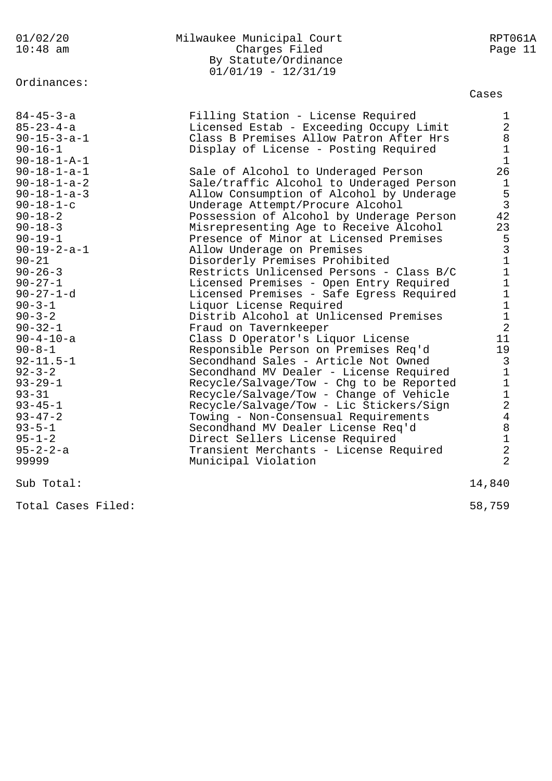| 01/02/20              | Milwaukee Municipal Court                | RPT061A               |
|-----------------------|------------------------------------------|-----------------------|
| $10:48$ am            | Charges Filed                            | Page 11               |
|                       | By Statute/Ordinance                     |                       |
|                       | $01/01/19 - 12/31/19$                    |                       |
| Ordinances:           |                                          | Cases                 |
|                       |                                          |                       |
| $84 - 45 - 3 - a$     | Filling Station - License Required       | 1                     |
| $85 - 23 - 4 - a$     | Licensed Estab - Exceeding Occupy Limit  | $\overline{a}$        |
| $90 - 15 - 3 - a - 1$ | Class B Premises Allow Patron After Hrs  | 8                     |
| $90 - 16 - 1$         | Display of License - Posting Required    | $\mathbf 1$           |
| $90 - 18 - 1 - A - 1$ |                                          | $\mathbf 1$           |
| $90 - 18 - 1 - a - 1$ | Sale of Alcohol to Underaged Person      | 26                    |
| $90 - 18 - 1 - a - 2$ | Sale/traffic Alcohol to Underaged Person | $\mathbf{1}$          |
| $90 - 18 - 1 - a - 3$ | Allow Consumption of Alcohol by Underage | 5                     |
| $90 - 18 - 1 - c$     | Underage Attempt/Procure Alcohol         | $\mathbf{3}$          |
| $90 - 18 - 2$         | Possession of Alcohol by Underage Person | 42                    |
| $90 - 18 - 3$         | Misrepresenting Age to Receive Alcohol   | 23                    |
| $90 - 19 - 1$         | Presence of Minor at Licensed Premises   | 5                     |
| $90 - 19 - 2 - a - 1$ | Allow Underage on Premises               | $\overline{3}$        |
| $90 - 21$             | Disorderly Premises Prohibited           | $\mathbf{1}$          |
| $90 - 26 - 3$         | Restricts Unlicensed Persons - Class B/C | $\mathbf 1$           |
| $90 - 27 - 1$         | Licensed Premises - Open Entry Required  | $\mathbf 1$           |
| $90 - 27 - 1 - d$     | Licensed Premises - Safe Egress Required | $1\,$                 |
| $90 - 3 - 1$          | Liquor License Required                  | $\mathbf 1$           |
| $90 - 3 - 2$          | Distrib Alcohol at Unlicensed Premises   | $1\,$                 |
| $90 - 32 - 1$         | Fraud on Tavernkeeper                    | $\overline{2}$        |
| $90 - 4 - 10 - a$     | Class D Operator's Liquor License        | 11                    |
| $90 - 8 - 1$          | Responsible Person on Premises Req'd     | 19                    |
| $92 - 11.5 - 1$       | Secondhand Sales - Article Not Owned     | 3                     |
| $92 - 3 - 2$          | Secondhand MV Dealer - License Required  | $\mathbf 1$           |
| $93 - 29 - 1$         | Recycle/Salvage/Tow - Chg to be Reported | $\mathbf{1}$          |
| $93 - 31$             | Recycle/Salvage/Tow - Change of Vehicle  | $\mathbf 1$           |
| $93 - 45 - 1$         | Recycle/Salvage/Tow - Lic Stickers/Sign  | $\mathbf{2}$          |
| $93 - 47 - 2$         | Towing - Non-Consensual Requirements     | $\overline{4}$        |
| $93 - 5 - 1$          | Secondhand MV Dealer License Req'd       | $\, 8$<br>$\mathbf 1$ |
| $95 - 1 - 2$          | Direct Sellers License Required          | $\overline{a}$        |
| $95 - 2 - 2 - a$      | Transient Merchants - License Required   | $\overline{a}$        |
| 99999                 | Municipal Violation                      |                       |
| Sub Total:            |                                          | 14,840                |
|                       |                                          |                       |

Total Cases Filed: 58,759